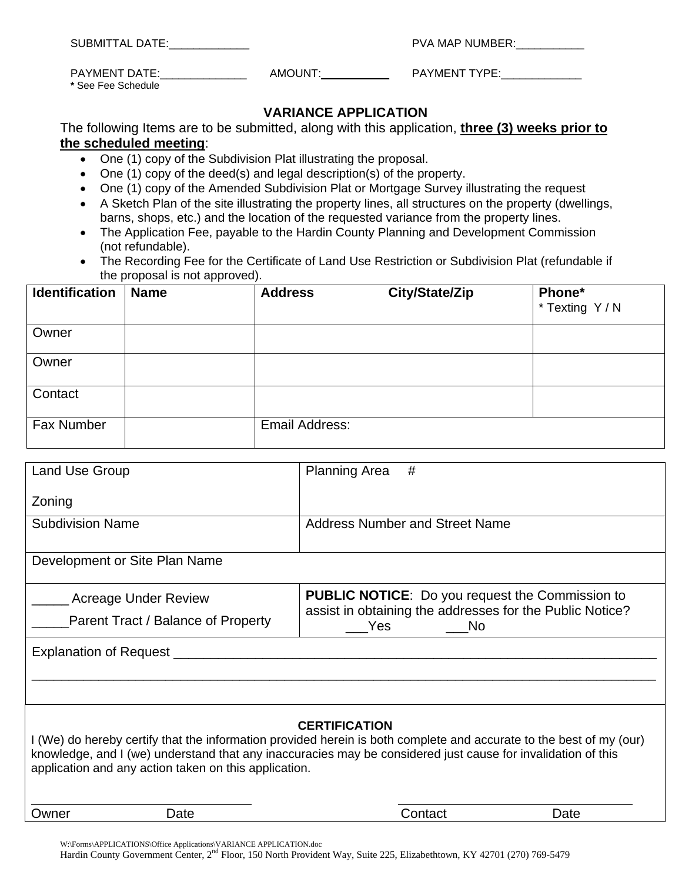| SUBMITTAL DATE:                     |         | PVA MAP NUMBER:      |  |
|-------------------------------------|---------|----------------------|--|
| PAYMENT DATE:<br>* See Fee Schedule | AMOUNT: | <b>PAYMENT TYPE:</b> |  |

## **VARIANCE APPLICATION**

The following Items are to be submitted, along with this application, **three (3) weeks prior to the scheduled meeting**:

- One (1) copy of the Subdivision Plat illustrating the proposal.
- One (1) copy of the deed(s) and legal description(s) of the property.
- One (1) copy of the Amended Subdivision Plat or Mortgage Survey illustrating the request
- A Sketch Plan of the site illustrating the property lines, all structures on the property (dwellings, barns, shops, etc.) and the location of the requested variance from the property lines.
- The Application Fee, payable to the Hardin County Planning and Development Commission (not refundable).
- The Recording Fee for the Certificate of Land Use Restriction or Subdivision Plat (refundable if the proposal is not approved).

| <b>Identification</b> | <b>Name</b> | <b>Address</b>        | City/State/Zip | Phone*<br>* Texting Y / N |
|-----------------------|-------------|-----------------------|----------------|---------------------------|
| Owner                 |             |                       |                |                           |
| Owner                 |             |                       |                |                           |
| Contact               |             |                       |                |                           |
| <b>Fax Number</b>     |             | <b>Email Address:</b> |                |                           |

| <b>Land Use Group</b>                                                                                                                                                                                                                                                                                                | #<br><b>Planning Area</b>                                                         |  |  |  |
|----------------------------------------------------------------------------------------------------------------------------------------------------------------------------------------------------------------------------------------------------------------------------------------------------------------------|-----------------------------------------------------------------------------------|--|--|--|
| Zoning                                                                                                                                                                                                                                                                                                               |                                                                                   |  |  |  |
| <b>Subdivision Name</b>                                                                                                                                                                                                                                                                                              | <b>Address Number and Street Name</b>                                             |  |  |  |
| Development or Site Plan Name                                                                                                                                                                                                                                                                                        |                                                                                   |  |  |  |
| <b>Acreage Under Review</b>                                                                                                                                                                                                                                                                                          | <b>PUBLIC NOTICE:</b> Do you request the Commission to                            |  |  |  |
| Parent Tract / Balance of Property                                                                                                                                                                                                                                                                                   | assist in obtaining the addresses for the Public Notice?<br>Yes<br>N <sub>o</sub> |  |  |  |
| Explanation of Request _                                                                                                                                                                                                                                                                                             |                                                                                   |  |  |  |
|                                                                                                                                                                                                                                                                                                                      |                                                                                   |  |  |  |
|                                                                                                                                                                                                                                                                                                                      |                                                                                   |  |  |  |
| <b>CERTIFICATION</b><br>I (We) do hereby certify that the information provided herein is both complete and accurate to the best of my (our)<br>knowledge, and I (we) understand that any inaccuracies may be considered just cause for invalidation of this<br>application and any action taken on this application. |                                                                                   |  |  |  |
| Date<br>Owner                                                                                                                                                                                                                                                                                                        | Date<br>Contact                                                                   |  |  |  |

W:\Forms\APPLICATIONS\Office Applications\VARIANCE APPLICATION.doc Hardin County Government Center, 2nd Floor, 150 North Provident Way, Suite 225, Elizabethtown, KY 42701 (270) 769-5479